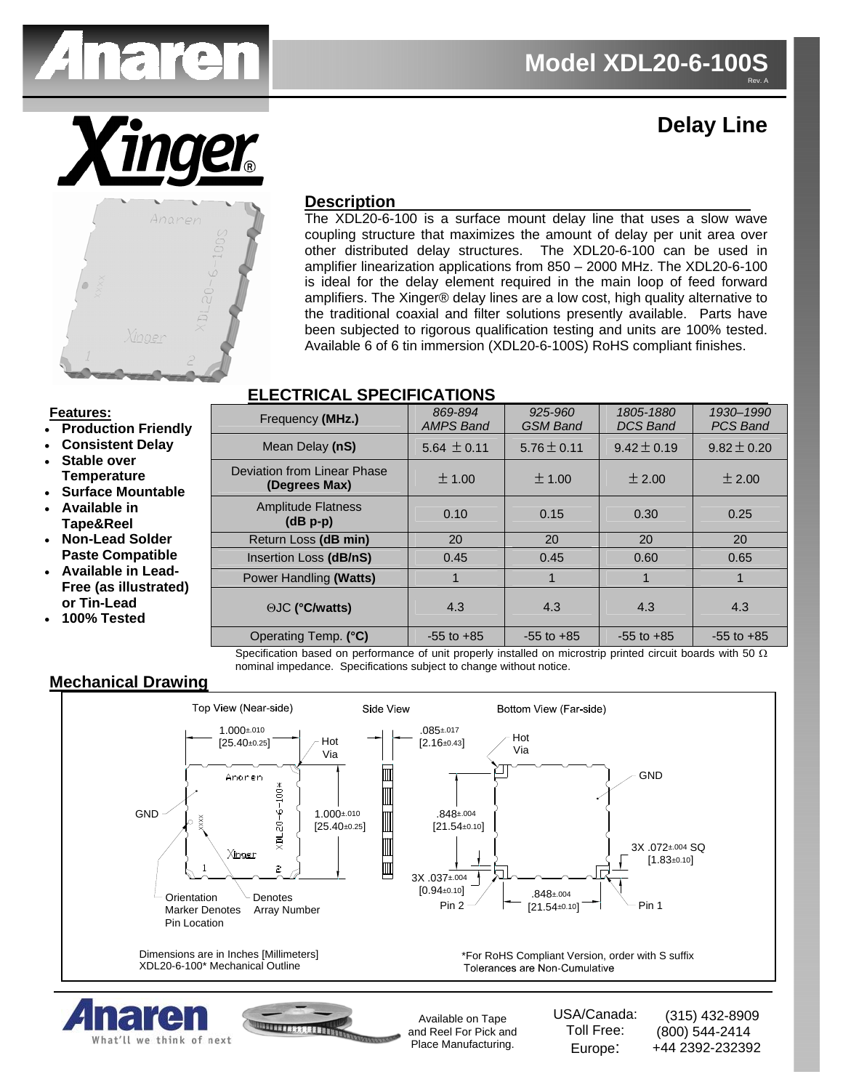

# **Delay Line**



# **Description**

The XDL20-6-100 is a surface mount delay line that uses a slow wave coupling structure that maximizes the amount of delay per unit area over other distributed delay structures. The XDL20-6-100 can be used in amplifier linearization applications from 850 – 2000 MHz. The XDL20-6-100 is ideal for the delay element required in the main loop of feed forward amplifiers. The Xinger® delay lines are a low cost, high quality alternative to the traditional coaxial and filter solutions presently available. Parts have been subjected to rigorous qualification testing and units are 100% tested. Available 6 of 6 tin immersion (XDL20-6-100S) RoHS compliant finishes.

# **ELECTRICAL SPECIFICATIONS**

#### **Features:**

- **Production Friendly**
- **Consistent Delay**
- **Stable over Temperature**
- **Surface Mountable**
- **Available in Tape&Reel**
- **Non-Lead Solder Paste Compatible**
- **Available in Lead-Free (as illustrated) or Tin-Lead**
- **100% Tested**

| Frequency (MHz.)                             | 869-894<br><b>AMPS Band</b> | 925-960<br><b>GSM Band</b> | 1805-1880<br><b>DCS Band</b> | 1930-1990<br><b>PCS Band</b> |
|----------------------------------------------|-----------------------------|----------------------------|------------------------------|------------------------------|
| Mean Delay (nS)                              | $5.64 \pm 0.11$             | $5.76 \pm 0.11$            | $9.42 \pm 0.19$              | $9.82 \pm 0.20$              |
| Deviation from Linear Phase<br>(Degrees Max) | ± 1.00                      | ± 1.00                     | ± 2.00                       | ± 2.00                       |
| <b>Amplitude Flatness</b><br>$(dB p-p)$      | 0.10                        | 0.15                       | 0.30                         | 0.25                         |
| Return Loss (dB min)                         | 20                          | 20                         | 20                           | 20                           |
| Insertion Loss (dB/nS)                       | 0.45                        | 0.45                       | 0.60                         | 0.65                         |
| Power Handling (Watts)                       | 1                           |                            | 1                            | 1                            |
| <b>OJC (°C/watts)</b>                        | 4.3                         | 4.3                        | 4.3                          | 4.3                          |
| Operating Temp. (°C)                         | $-55$ to $+85$              | $-55$ to $+85$             | $-55$ to $+85$               | $-55$ to $+85$               |

Specification based on performance of unit properly installed on microstrip printed circuit boards with 50  $\Omega$ nominal impedance. Specifications subject to change without notice.

## **Mechanical Drawing**

What'll we think of next



Place Manufacturing.

Europe:

+44 2392-232392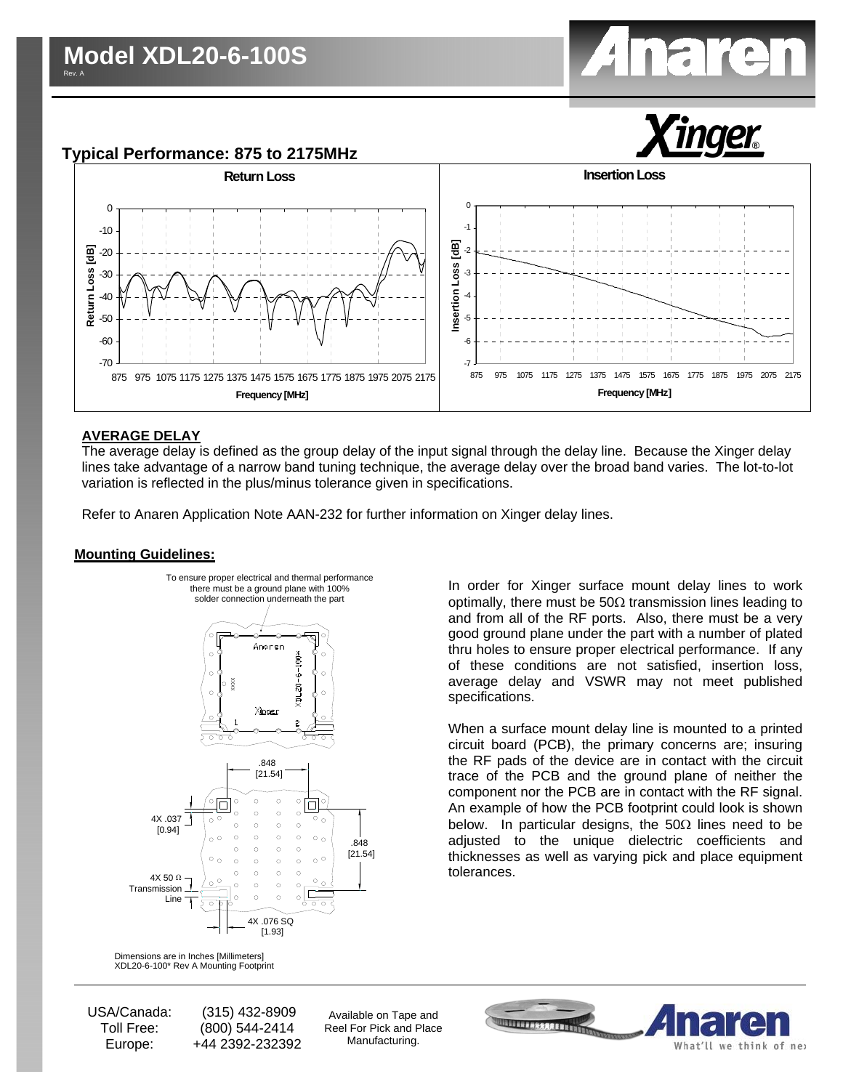

**Typical Performance: 875 to 2175MHz**



### **AVERAGE DELAY**

The average delay is defined as the group delay of the input signal through the delay line. Because the Xinger delay lines take advantage of a narrow band tuning technique, the average delay over the broad band varies. The lot-to-lot variation is reflected in the plus/minus tolerance given in specifications.

Refer to Anaren Application Note AAN-232 for further information on Xinger delay lines.

#### **Mounting Guidelines:**



XDL20-6-100\* Rev A Mounting Footprint Dimensions are in Inches [Millimeters]

USA/Canada: Toll Free: Europe:

 (315) 432-8909 (800) 544-2414 +44 2392-232392

Available on Tape and Reel For Pick and Place Manufacturing.



In order for Xinger surface mount delay lines to work optimally, there must be  $50\Omega$  transmission lines leading to and from all of the RF ports. Also, there must be a very good ground plane under the part with a number of plated thru holes to ensure proper electrical performance. If any of these conditions are not satisfied, insertion loss, average delay and VSWR may not meet published specifications.

When a surface mount delay line is mounted to a printed circuit board (PCB), the primary concerns are; insuring the RF pads of the device are in contact with the circuit trace of the PCB and the ground plane of neither the component nor the PCB are in contact with the RF signal. An example of how the PCB footprint could look is shown below. In particular designs, the 50 $\Omega$  lines need to be adjusted to the unique dielectric coefficients and thicknesses as well as varying pick and place equipment tolerances.